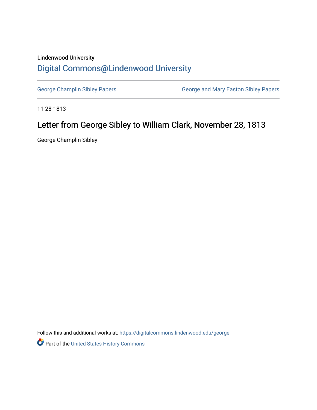## Lindenwood University [Digital Commons@Lindenwood University](https://digitalcommons.lindenwood.edu/)

[George Champlin Sibley Papers](https://digitalcommons.lindenwood.edu/george) **George and Mary Easton Sibley Papers** George and Mary Easton Sibley Papers

11-28-1813

## Letter from George Sibley to William Clark, November 28, 1813

George Champlin Sibley

Follow this and additional works at: [https://digitalcommons.lindenwood.edu/george](https://digitalcommons.lindenwood.edu/george?utm_source=digitalcommons.lindenwood.edu%2Fgeorge%2F21&utm_medium=PDF&utm_campaign=PDFCoverPages)

Part of the [United States History Commons](http://network.bepress.com/hgg/discipline/495?utm_source=digitalcommons.lindenwood.edu%2Fgeorge%2F21&utm_medium=PDF&utm_campaign=PDFCoverPages)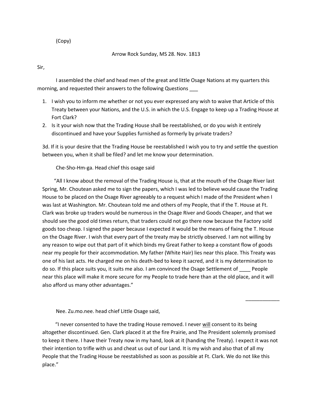(Copy)

Arrow Rock Sunday, MS 28. Nov. 1813

Sir,

I assembled the chief and head men of the great and little Osage Nations at my quarters this morning, and requested their answers to the following Questions \_\_\_

- 1. I wish you to inform me whether or not you ever expressed any wish to waive that Article of this Treaty between your Nations, and the U.S. in which the U.S. Engage to keep up a Trading House at Fort Clark?
- 2. Is it your wish now that the Trading House shall be reestablished, or do you wish it entirely discontinued and have your Supplies furnished as formerly by private traders?

3d. If it is your desire that the Trading House be reestablished I wish you to try and settle the question between you, when it shall be filed? and let me know your determination.

Che-Sho-Hm-ga. Head chief this osage said

 "All I know about the removal of the Trading House is, that at the mouth of the Osage River last Spring, Mr. Choutean asked me to sign the papers, which I was led to believe would cause the Trading House to be placed on the Osage River agreeably to a request which I made of the President when I was last at Washington. Mr. Choutean told me and others of my People, that if the T. House at Ft. Clark was broke up traders would be numerous in the Osage River and Goods Cheaper, and that we should see the good old times return, that traders could not go there now because the Factory sold goods too cheap. I signed the paper because I expected it would be the means of fixing the T. House on the Osage River. I wish that every part of the treaty may be strictly observed. I am not willing by any reason to wipe out that part of it which binds my Great Father to keep a constant flow of goods near my people for their accommodation. My father (White Hair) lies near this place. This Treaty was one of his last acts. He charged me on his death-bed to keep it sacred, and it is my determination to do so. If this place suits you, it suits me also. I am convinced the Osage Settlement of People near this place will make it more secure for my People to trade here than at the old place, and it will also afford us many other advantages."

Nee. Zu.mo.nee. head chief Little Osage said,

 "I never consented to have the trading House removed. I never will consent to its being altogether discontinued. Gen. Clark placed it at the fire Prairie, and The President solemnly promised to keep it there. I have their Treaty now in my hand, look at it (handing the Treaty). I expect it was not their intention to trifle with us and cheat us out of our Land. It is my wish and also that of all my People that the Trading House be reestablished as soon as possible at Ft. Clark. We do not like this place."

\_\_\_\_\_\_\_\_\_\_\_\_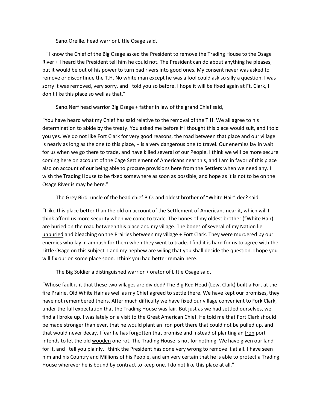Sano.Oreille. head warrior Little Osage said,

 "I know the Chief of the Big Osage asked the President to remove the Trading House to the Osage River + I heard the President tell him he could not. The President can do about anything he pleases, but it would be out of his power to turn bad rivers into good ones. My consent never was asked to remove or discontinue the T.H. No white man except he was a fool could ask so silly a question. I was sorry it was removed, very sorry, and I told you so before. I hope it will be fixed again at Ft. Clark, I don't like this place so well as that."

Sano.Nerf head warrior Big Osage + father in law of the grand Chief said,

"You have heard what my Chief has said relative to the removal of the T.H. We all agree to his determination to abide by the treaty. You asked me before if I thought this place would suit, and I told you yes. We do not like Fort Clark for very good reasons, the road between that place and our village is nearly as long as the one to this place, + is a very dangerous one to travel. Our enemies lay in wait for us when we go there to trade, and have killed several of our People. I think we will be more secure coming here on account of the Cage Settlement of Americans near this, and I am in favor of this place also on account of our being able to procure provisions here from the Settlers when we need any. I wish the Trading House to be fixed somewhere as soon as possible, and hope as it is not to be on the Osage River is may be here."

The Grey Bird. uncle of the head chief B.O. and oldest brother of "White Hair" dec? said,

"I like this place better than the old on account of the Settlement of Americans near it, which will I think afford us more security when we come to trade. The bones of my oldest brother ("White Hair) are buried on the road between this place and my village. The bones of several of my Nation lie unburied and bleaching on the Prairies between my village + Fort Clark. They were murdered by our enemies who lay in ambush for them when they went to trade. I find it is hard for us to agree with the Little Osage on this subject. I and my nephew are wiling that you shall decide the question. I hope you will fix our on some place soon. I think you had better remain here.

The Big Soldier a distinguished warrior + orator of Little Osage said,

"Whose fault is it that these two villages are divided? The Big Red Head (Lew. Clark) built a Fort at the fire Prairie. Old White Hair as well as my Chief agreed to settle there. We have kept our promises, they have not remembered theirs. After much difficulty we have fixed our village convenient to Fork Clark, under the full expectation that the Trading House was fair. But just as we had settled ourselves, we find all broke up. I was lately on a visit to the Great American Chief. He told me that Fort Clark should be made stronger than ever, that he would plant an iron port there that could not be pulled up, and that would never decay. I fear he has forgotten that promise and instead of planting an Iron port intends to let the old wooden one rot. The Trading House is not for nothing. We have given our land for it, and I tell you plainly, I think the President has done very wrong to remove it at all. I have seen him and his Country and Millions of his People, and am very certain that he is able to protect a Trading House wherever he is bound by contract to keep one. I do not like this place at all."